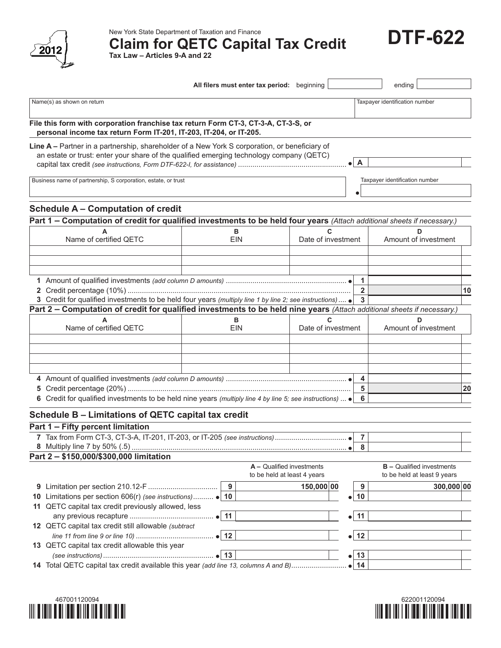

New York State Department of Taxation and Finance<br>Claim for QETC Capital Tax Credit **DTF-622** 

| Tax Law - Articles 9-A and 22 |  |  |  |  |  |  |
|-------------------------------|--|--|--|--|--|--|
|-------------------------------|--|--|--|--|--|--|

|                                                                                                                                                                                           |                       | All filers must enter tax period: beginning              |                                    |                                 | ending                                                          |    |
|-------------------------------------------------------------------------------------------------------------------------------------------------------------------------------------------|-----------------------|----------------------------------------------------------|------------------------------------|---------------------------------|-----------------------------------------------------------------|----|
| Name(s) as shown on return                                                                                                                                                                |                       |                                                          |                                    |                                 | Taxpayer identification number                                  |    |
| File this form with corporation franchise tax return Form CT-3, CT-3-A, CT-3-S, or<br>personal income tax return Form IT-201, IT-203, IT-204, or IT-205.                                  |                       |                                                          |                                    |                                 |                                                                 |    |
| Line A - Partner in a partnership, shareholder of a New York S corporation, or beneficiary of<br>an estate or trust: enter your share of the qualified emerging technology company (QETC) |                       |                                                          |                                    | $\mathsf{A}$                    |                                                                 |    |
| Business name of partnership, S corporation, estate, or trust                                                                                                                             |                       |                                                          |                                    |                                 | Taxpayer identification number                                  |    |
| <b>Schedule A - Computation of credit</b>                                                                                                                                                 |                       |                                                          |                                    |                                 |                                                                 |    |
| Part 1 - Computation of credit for qualified investments to be held four years (Attach additional sheets if necessary.)                                                                   |                       |                                                          |                                    |                                 |                                                                 |    |
| Name of certified QETC                                                                                                                                                                    | в<br><b>EIN</b>       |                                                          | $\mathbf{C}$<br>Date of investment |                                 | D<br>Amount of investment                                       |    |
|                                                                                                                                                                                           |                       |                                                          |                                    | 1<br>$\overline{2}$             |                                                                 |    |
| 3 Credit for qualified investments to be held four years (multiply line 1 by line 2; see instructions)                                                                                    |                       |                                                          |                                    | $\overline{3}$                  |                                                                 | 10 |
| Part 2 - Computation of credit for qualified investments to be held nine years (Attach additional sheets if necessary.)                                                                   |                       |                                                          |                                    |                                 |                                                                 |    |
| Name of certified QETC                                                                                                                                                                    | в<br><b>EIN</b>       |                                                          | C<br>Date of investment            |                                 | D<br>Amount of investment                                       |    |
|                                                                                                                                                                                           |                       |                                                          |                                    |                                 |                                                                 |    |
|                                                                                                                                                                                           |                       |                                                          |                                    | 4<br>5                          |                                                                 | 20 |
| 6 Credit for qualified investments to be held nine years (multiply line 4 by line 5; see instructions) $\bullet$                                                                          |                       |                                                          |                                    | 6                               |                                                                 |    |
| Schedule B - Limitations of QETC capital tax credit<br>Part 1 - Fifty percent limitation                                                                                                  |                       |                                                          |                                    |                                 |                                                                 |    |
| 7 Tax from Form CT-3, CT-3-A, IT-201, IT-203, or IT-205 (see instructions)                                                                                                                |                       |                                                          |                                    | $\overline{7}$<br>8             |                                                                 |    |
| Part 2 - \$150,000/\$300,000 limitation                                                                                                                                                   |                       | A - Qualified investments<br>to be held at least 4 years |                                    |                                 | <b>B</b> - Qualified investments<br>to be held at least 9 years |    |
|                                                                                                                                                                                           | 9                     |                                                          | 150,000 00                         | 9                               | 300,000 00                                                      |    |
| 10 Limitations per section 606(r) (see instructions) • 10                                                                                                                                 |                       |                                                          |                                    | 10                              |                                                                 |    |
| 11 QETC capital tax credit previously allowed, less                                                                                                                                       |                       |                                                          |                                    |                                 |                                                                 |    |
| 12 QETC capital tax credit still allowable (subtract                                                                                                                                      | $\bullet$ 11          |                                                          |                                    | 11                              |                                                                 |    |
| 13 QETC capital tax credit allowable this year                                                                                                                                            | $\bullet$ 12<br>•∣ 13 |                                                          |                                    | $\bullet$ 12<br>13<br>$\bullet$ |                                                                 |    |
| 14 Total QETC capital tax credit available this year (add line 13, columns A and B)                                                                                                       |                       |                                                          |                                    |                                 |                                                                 |    |